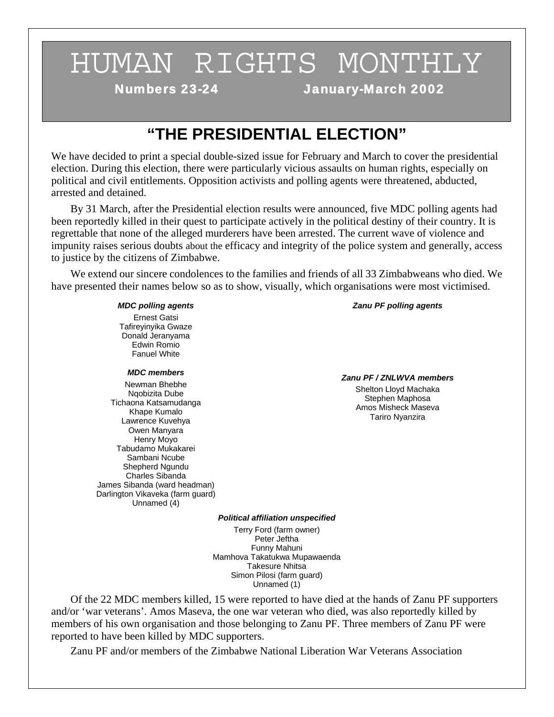# HUMAN RIGHTS MONTHLY

Numbers 23-24 January-March 2002

# **"THE PRESIDENTIAL ELECTION"**

We have decided to print a special double-sized issue for February and March to cover the presidential election. During this election, there were particularly vicious assaults on human rights, especially on political and civil entitlements. Opposition activists and polling agents were threatened, abducted, arrested and detained.

 By 31 March, after the Presidential election results were announced, five MDC polling agents had been reportedly killed in their quest to participate actively in the political destiny of their country. It is regrettable that none of the alleged murderers have been arrested. The current wave of violence and impunity raises serious doubts about the efficacy and integrity of the police system and generally, access to justice by the citizens of Zimbabwe.

 We extend our sincere condolences to the families and friends of all 33 Zimbabweans who died. We have presented their names below so as to show, visually, which organisations were most victimised.

#### *MDC polling agents*

Ernest Gatsi Tafireyinyika Gwaze Donald Jeranyama Edwin Romio Fanuel White

### *MDC members*

Newman Bhebhe Nqobizita Dube Tichaona Katsamudanga Khape Kumalo Lawrence Kuvehya Owen Manyara Henry Moyo Tabudamo Mukakarei Sambani Ncube Shepherd Ngundu Charles Sibanda James Sibanda (ward headman) Darlington Vikaveka (farm guard) Unnamed (4)

### *Zanu PF polling agents*

#### *Zanu PF / ZNLWVA members*

Shelton Lloyd Machaka Stephen Maphosa Amos Misheck Maseva Tariro Nyanzira

### *Political affiliation unspecified*

Terry Ford (farm owner) Peter Jeftha Funny Mahuni Mamhova Takatukwa Mupawaenda Takesure Nhitsa Simon Pilosi (farm guard) Unnamed (1)

 Of the 22 MDC members killed, 15 were reported to have died at the hands of Zanu PF supporters and/or 'war veterans'. Amos Maseva, the one war veteran who died, was also reportedly killed by members of his own organisation and those belonging to Zanu PF. Three members of Zanu PF were reported to have been killed by MDC supporters.

Zanu PF and/or members of the Zimbabwe National Liberation War Veterans Association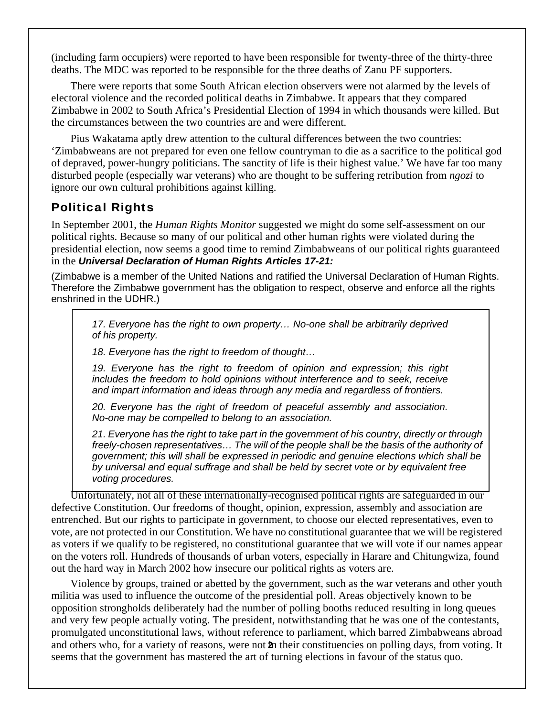(including farm occupiers) were reported to have been responsible for twenty-three of the thirty-three deaths. The MDC was reported to be responsible for the three deaths of Zanu PF supporters.

 There were reports that some South African election observers were not alarmed by the levels of electoral violence and the recorded political deaths in Zimbabwe. It appears that they compared Zimbabwe in 2002 to South Africa's Presidential Election of 1994 in which thousands were killed. But the circumstances between the two countries are and were different.

 Pius Wakatama aptly drew attention to the cultural differences between the two countries: 'Zimbabweans are not prepared for even one fellow countryman to die as a sacrifice to the political god of depraved, power-hungry politicians. The sanctity of life is their highest value.' We have far too many disturbed people (especially war veterans) who are thought to be suffering retribution from *ngozi* to ignore our own cultural prohibitions against killing.

# Political Rights

In September 2001, the *Human Rights Monitor* suggested we might do some self-assessment on our political rights. Because so many of our political and other human rights were violated during the presidential election, now seems a good time to remind Zimbabweans of our political rights guaranteed in the *Universal Declaration of Human Rights Articles 17-21:*

(Zimbabwe is a member of the United Nations and ratified the Universal Declaration of Human Rights. Therefore the Zimbabwe government has the obligation to respect, observe and enforce all the rights enshrined in the UDHR.)

*17. Everyone has the right to own property… No-one shall be arbitrarily deprived of his property.* 

*18. Everyone has the right to freedom of thought…* 

*19. Everyone has the right to freedom of opinion and expression; this right includes the freedom to hold opinions without interference and to seek, receive and impart information and ideas through any media and regardless of frontiers.* 

*20. Everyone has the right of freedom of peaceful assembly and association. No-one may be compelled to belong to an association.* 

*21. Everyone has the right to take part in the government of his country, directly or through freely-chosen representatives… The will of the people shall be the basis of the authority of government; this will shall be expressed in periodic and genuine elections which shall be by universal and equal suffrage and shall be held by secret vote or by equivalent free voting procedures.*

 Unfortunately, not all of these internationally-recognised political rights are safeguarded in our defective Constitution. Our freedoms of thought, opinion, expression, assembly and association are entrenched. But our rights to participate in government, to choose our elected representatives, even to vote, are not protected in our Constitution. We have no constitutional guarantee that we will be registered as voters if we qualify to be registered, no constitutional guarantee that we will vote if our names appear on the voters roll. Hundreds of thousands of urban voters, especially in Harare and Chitungwiza, found out the hard way in March 2002 how insecure our political rights as voters are.

 Violence by groups, trained or abetted by the government, such as the war veterans and other youth militia was used to influence the outcome of the presidential poll. Areas objectively known to be opposition strongholds deliberately had the number of polling booths reduced resulting in long queues and very few people actually voting. The president, notwithstanding that he was one of the contestants, promulgated unconstitutional laws, without reference to parliament, which barred Zimbabweans abroad and others who, for a variety of reasons, were not **2**n their constituencies on polling days, from voting. It seems that the government has mastered the art of turning elections in favour of the status quo.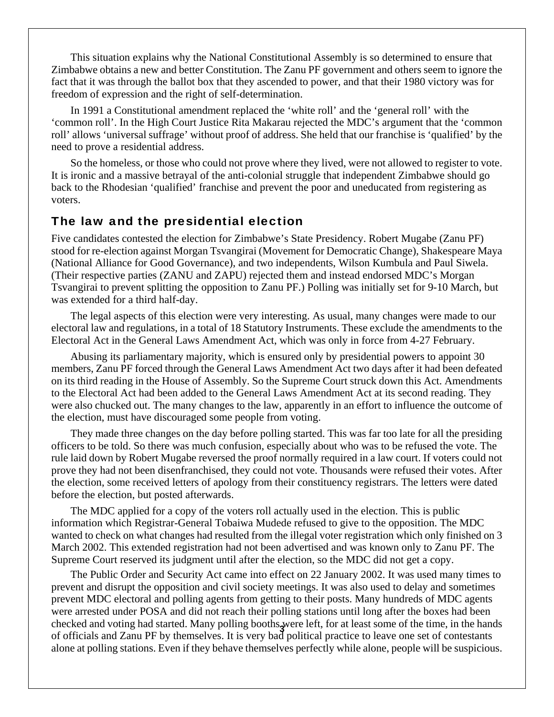This situation explains why the National Constitutional Assembly is so determined to ensure that Zimbabwe obtains a new and better Constitution. The Zanu PF government and others seem to ignore the fact that it was through the ballot box that they ascended to power, and that their 1980 victory was for freedom of expression and the right of self-determination.

 In 1991 a Constitutional amendment replaced the 'white roll' and the 'general roll' with the 'common roll'. In the High Court Justice Rita Makarau rejected the MDC's argument that the 'common roll' allows 'universal suffrage' without proof of address. She held that our franchise is 'qualified' by the need to prove a residential address.

 So the homeless, or those who could not prove where they lived, were not allowed to register to vote. It is ironic and a massive betrayal of the anti-colonial struggle that independent Zimbabwe should go back to the Rhodesian 'qualified' franchise and prevent the poor and uneducated from registering as voters.

# The law and the presidential election

Five candidates contested the election for Zimbabwe's State Presidency. Robert Mugabe (Zanu PF) stood for re-election against Morgan Tsvangirai (Movement for Democratic Change), Shakespeare Maya (National Alliance for Good Governance), and two independents, Wilson Kumbula and Paul Siwela. (Their respective parties (ZANU and ZAPU) rejected them and instead endorsed MDC's Morgan Tsvangirai to prevent splitting the opposition to Zanu PF.) Polling was initially set for 9-10 March, but was extended for a third half-day.

 The legal aspects of this election were very interesting. As usual, many changes were made to our electoral law and regulations, in a total of 18 Statutory Instruments. These exclude the amendments to the Electoral Act in the General Laws Amendment Act, which was only in force from 4-27 February.

 Abusing its parliamentary majority, which is ensured only by presidential powers to appoint 30 members, Zanu PF forced through the General Laws Amendment Act two days after it had been defeated on its third reading in the House of Assembly. So the Supreme Court struck down this Act. Amendments to the Electoral Act had been added to the General Laws Amendment Act at its second reading. They were also chucked out. The many changes to the law, apparently in an effort to influence the outcome of the election, must have discouraged some people from voting.

 They made three changes on the day before polling started. This was far too late for all the presiding officers to be told. So there was much confusion, especially about who was to be refused the vote. The rule laid down by Robert Mugabe reversed the proof normally required in a law court. If voters could not prove they had not been disenfranchised, they could not vote. Thousands were refused their votes. After the election, some received letters of apology from their constituency registrars. The letters were dated before the election, but posted afterwards.

 The MDC applied for a copy of the voters roll actually used in the election. This is public information which Registrar-General Tobaiwa Mudede refused to give to the opposition. The MDC wanted to check on what changes had resulted from the illegal voter registration which only finished on 3 March 2002. This extended registration had not been advertised and was known only to Zanu PF. The Supreme Court reserved its judgment until after the election, so the MDC did not get a copy.

 The Public Order and Security Act came into effect on 22 January 2002. It was used many times to prevent and disrupt the opposition and civil society meetings. It was also used to delay and sometimes prevent MDC electoral and polling agents from getting to their posts. Many hundreds of MDC agents were arrested under POSA and did not reach their polling stations until long after the boxes had been checked and voting had started. Many polling booths were left, for at least some of the time, in the hands of  $\frac{1}{2}$ of officials and Zanu PF by themselves. It is very bad political practice to leave one set of contestants alone at polling stations. Even if they behave themselves perfectly while alone, people will be suspicious.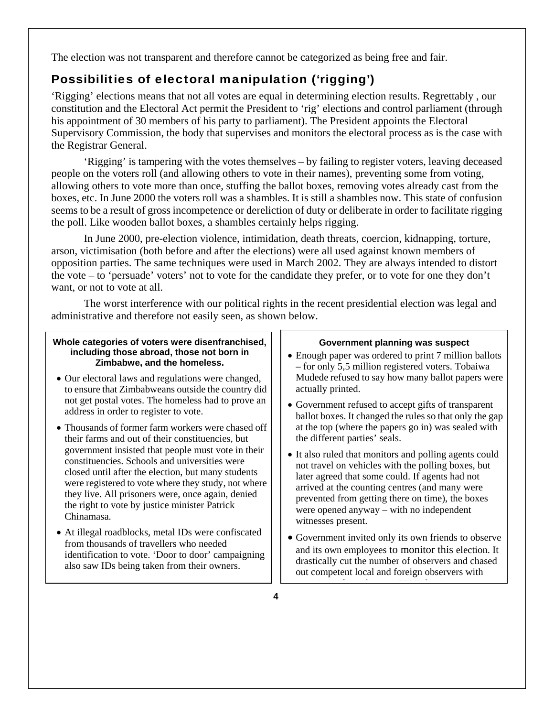The election was not transparent and therefore cannot be categorized as being free and fair.

# Possibilities of electoral manipulation ('rigging')

'Rigging' elections means that not all votes are equal in determining election results. Regrettably , our constitution and the Electoral Act permit the President to 'rig' elections and control parliament (through his appointment of 30 members of his party to parliament). The President appoints the Electoral Supervisory Commission, the body that supervises and monitors the electoral process as is the case with the Registrar General.

 'Rigging' is tampering with the votes themselves – by failing to register voters, leaving deceased people on the voters roll (and allowing others to vote in their names), preventing some from voting, allowing others to vote more than once, stuffing the ballot boxes, removing votes already cast from the boxes, etc. In June 2000 the voters roll was a shambles. It is still a shambles now. This state of confusion seems to be a result of gross incompetence or dereliction of duty or deliberate in order to facilitate rigging the poll. Like wooden ballot boxes, a shambles certainly helps rigging.

 In June 2000, pre-election violence, intimidation, death threats, coercion, kidnapping, torture, arson, victimisation (both before and after the elections) were all used against known members of opposition parties. The same techniques were used in March 2002. They are always intended to distort the vote – to 'persuade' voters' not to vote for the candidate they prefer, or to vote for one they don't want, or not to vote at all.

 The worst interference with our political rights in the recent presidential election was legal and administrative and therefore not easily seen, as shown below.

### **Whole categories of voters were disenfranchised, including those abroad, those not born in Zimbabwe, and the homeless.**

- Our electoral laws and regulations were changed, to ensure that Zimbabweans outside the country did not get postal votes. The homeless had to prove an address in order to register to vote.
- Thousands of former farm workers were chased off their farms and out of their constituencies, but government insisted that people must vote in their constituencies. Schools and universities were closed until after the election, but many students were registered to vote where they study, not where they live. All prisoners were, once again, denied the right to vote by justice minister Patrick Chinamasa.
- At illegal roadblocks, metal IDs were confiscated from thousands of travellers who needed identification to vote. 'Door to door' campaigning also saw IDs being taken from their owners.

### **Government planning was suspect**

- Enough paper was ordered to print 7 million ballots – for only 5,5 million registered voters. Tobaiwa Mudede refused to say how many ballot papers were actually printed.
- Government refused to accept gifts of transparent ballot boxes. It changed the rules so that only the gap at the top (where the papers go in) was sealed with the different parties' seals.
- It also ruled that monitors and polling agents could not travel on vehicles with the polling boxes, but later agreed that some could. If agents had not arrived at the counting centres (and many were prevented from getting there on time), the boxes were opened anyway – with no independent witnesses present.
- Government invited only its own friends to observe and its own employees to monitor this election. It drastically cut the number of observers and chased out competent local and foreign observers with i f h 2000 l i f h 2000 l i f h 2000 l i f h 2000 l i f h 2000 l i f h 2000 l i f h 2000 l i f h 2000 l i f h<br>De la f h 2000 l i f h 2000 l i f h 2000 l i f h 2000 l i f h 2000 l i f h 2000 l i f h 2000 l i f h 2000 l i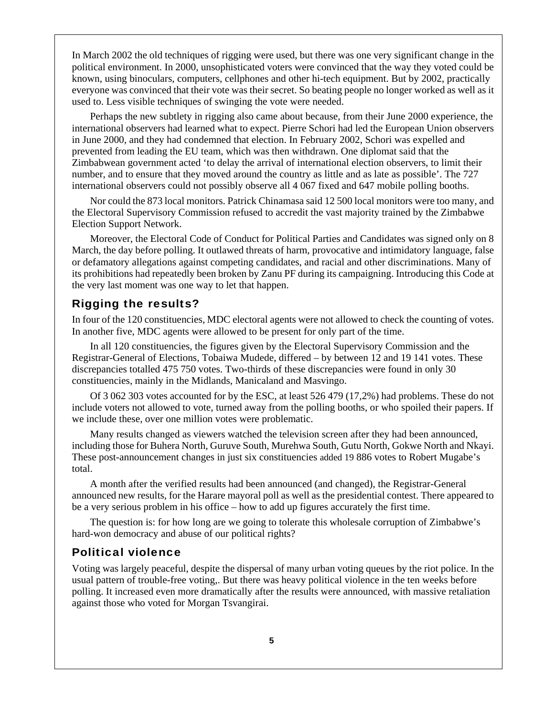In March 2002 the old techniques of rigging were used, but there was one very significant change in the political environment. In 2000, unsophisticated voters were convinced that the way they voted could be known, using binoculars, computers, cellphones and other hi-tech equipment. But by 2002, practically everyone was convinced that their vote was their secret. So beating people no longer worked as well as it used to. Less visible techniques of swinging the vote were needed.

 Perhaps the new subtlety in rigging also came about because, from their June 2000 experience, the international observers had learned what to expect. Pierre Schori had led the European Union observers in June 2000, and they had condemned that election. In February 2002, Schori was expelled and prevented from leading the EU team, which was then withdrawn. One diplomat said that the Zimbabwean government acted 'to delay the arrival of international election observers, to limit their number, and to ensure that they moved around the country as little and as late as possible'. The 727 international observers could not possibly observe all 4 067 fixed and 647 mobile polling booths.

 Nor could the 873 local monitors. Patrick Chinamasa said 12 500 local monitors were too many, and the Electoral Supervisory Commission refused to accredit the vast majority trained by the Zimbabwe Election Support Network.

 Moreover, the Electoral Code of Conduct for Political Parties and Candidates was signed only on 8 March, the day before polling. It outlawed threats of harm, provocative and intimidatory language, false or defamatory allegations against competing candidates, and racial and other discriminations. Many of its prohibitions had repeatedly been broken by Zanu PF during its campaigning. Introducing this Code at the very last moment was one way to let that happen.

## Rigging the results?

In four of the 120 constituencies, MDC electoral agents were not allowed to check the counting of votes. In another five, MDC agents were allowed to be present for only part of the time.

 In all 120 constituencies, the figures given by the Electoral Supervisory Commission and the Registrar-General of Elections, Tobaiwa Mudede, differed – by between 12 and 19 141 votes. These discrepancies totalled 475 750 votes. Two-thirds of these discrepancies were found in only 30 constituencies, mainly in the Midlands, Manicaland and Masvingo.

 Of 3 062 303 votes accounted for by the ESC, at least 526 479 (17,2%) had problems. These do not include voters not allowed to vote, turned away from the polling booths, or who spoiled their papers. If we include these, over one million votes were problematic.

 Many results changed as viewers watched the television screen after they had been announced, including those for Buhera North, Guruve South, Murehwa South, Gutu North, Gokwe North and Nkayi. These post-announcement changes in just six constituencies added 19 886 votes to Robert Mugabe's total.

 A month after the verified results had been announced (and changed), the Registrar-General announced new results, for the Harare mayoral poll as well as the presidential contest. There appeared to be a very serious problem in his office – how to add up figures accurately the first time.

 The question is: for how long are we going to tolerate this wholesale corruption of Zimbabwe's hard-won democracy and abuse of our political rights?

## Political violence

Voting was largely peaceful, despite the dispersal of many urban voting queues by the riot police. In the usual pattern of trouble-free voting,. But there was heavy political violence in the ten weeks before polling. It increased even more dramatically after the results were announced, with massive retaliation against those who voted for Morgan Tsvangirai.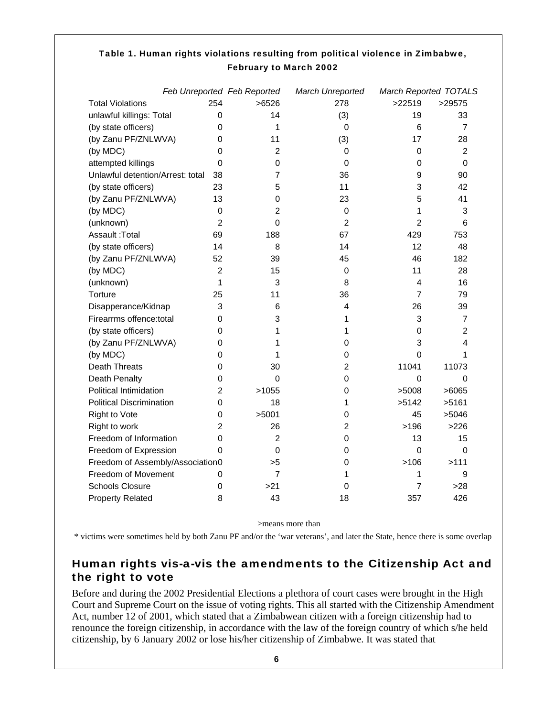|                                  | Feb Unreported Feb Reported |                | March Unreported | <b>March Reported TOTALS</b> |                 |
|----------------------------------|-----------------------------|----------------|------------------|------------------------------|-----------------|
| <b>Total Violations</b>          | 254                         | >6526          | 278              | >22519                       | >29575          |
| unlawful killings: Total         | 0                           | 14             | (3)              | 19                           | 33              |
| (by state officers)              | $\Omega$                    | 1              | 0                | 6                            | $\overline{7}$  |
| (by Zanu PF/ZNLWVA)              | 0                           | 11             | (3)              | 17                           | 28              |
| (by MDC)                         | $\Omega$                    | $\overline{2}$ | 0                | 0                            | $\overline{2}$  |
| attempted killings               | $\Omega$                    | 0              | 0                | 0                            | 0               |
| Unlawful detention/Arrest: total | 38                          | $\overline{7}$ | 36               | 9                            | 90              |
| (by state officers)              | 23                          | 5              | 11               | 3                            | 42              |
| (by Zanu PF/ZNLWVA)              | 13                          | 0              | 23               | 5                            | 41              |
| (by MDC)                         | 0                           | 2              | 0                | 1                            | 3               |
| (unknown)                        | $\overline{2}$              | 0              | $\overline{2}$   | $\overline{2}$               | $6\phantom{1}6$ |
| Assault: Total                   | 69                          | 188            | 67               | 429                          | 753             |
| (by state officers)              | 14                          | 8              | 14               | 12                           | 48              |
| (by Zanu PF/ZNLWVA)              | 52                          | 39             | 45               | 46                           | 182             |
| (by MDC)                         | $\mathcal{P}$               | 15             | 0                | 11                           | 28              |
| (unknown)                        | 1                           | 3              | 8                | 4                            | 16              |
| Torture                          | 25                          | 11             | 36               | $\overline{7}$               | 79              |
| Disapperance/Kidnap              | 3                           | 6              | 4                | 26                           | 39              |
| Firearrms offence:total          | 0                           | 3              | 1                | 3                            | 7               |
| (by state officers)              | 0                           | 1              | 1                | 0                            | $\overline{2}$  |
| (by Zanu PF/ZNLWVA)              | $\Omega$                    | 1              | 0                | 3                            | 4               |
| (by MDC)                         | 0                           | 1              | 0                | $\mathbf 0$                  | 1               |
| <b>Death Threats</b>             | 0                           | 30             | 2                | 11041                        | 11073           |
| Death Penalty                    | 0                           | 0              | 0                | $\boldsymbol{0}$             | $\mathbf 0$     |
| <b>Political Intimidation</b>    | $\overline{2}$              | >1055          | 0                | >5008                        | >6065           |
| <b>Political Discrimination</b>  | 0                           | 18             | 1                | >5142                        | >5161           |
| Right to Vote                    | 0                           | >5001          | 0                | 45                           | >5046           |
| Right to work                    | 2                           | 26             | $\overline{2}$   | >196                         | >226            |
| Freedom of Information           | 0                           | $\overline{2}$ | 0                | 13                           | 15              |
| Freedom of Expression            | 0                           | 0              | 0                | 0                            | $\mathbf 0$     |
| Freedom of Assembly/Association0 |                             | >5             | 0                | >106                         | >111            |
| Freedom of Movement              | 0                           | $\overline{7}$ | 1                | 1                            | 9               |
| <b>Schools Closure</b>           | $\mathbf 0$                 | >21            | 0                | 7                            | $>28$           |
| <b>Property Related</b>          | 8                           | 43             | 18               | 357                          | 426             |

# Table 1. Human rights violations resulting from political violence in Zimbabwe, February to March 2002

>means more than

\* victims were sometimes held by both Zanu PF and/or the 'war veterans', and later the State, hence there is some overlap

# Human rights vis-a-vis the amendments to the Citizenship Act and the right to vote

Before and during the 2002 Presidential Elections a plethora of court cases were brought in the High Court and Supreme Court on the issue of voting rights. This all started with the Citizenship Amendment Act, number 12 of 2001, which stated that a Zimbabwean citizen with a foreign citizenship had to renounce the foreign citizenship, in accordance with the law of the foreign country of which s/he held citizenship, by 6 January 2002 or lose his/her citizenship of Zimbabwe. It was stated that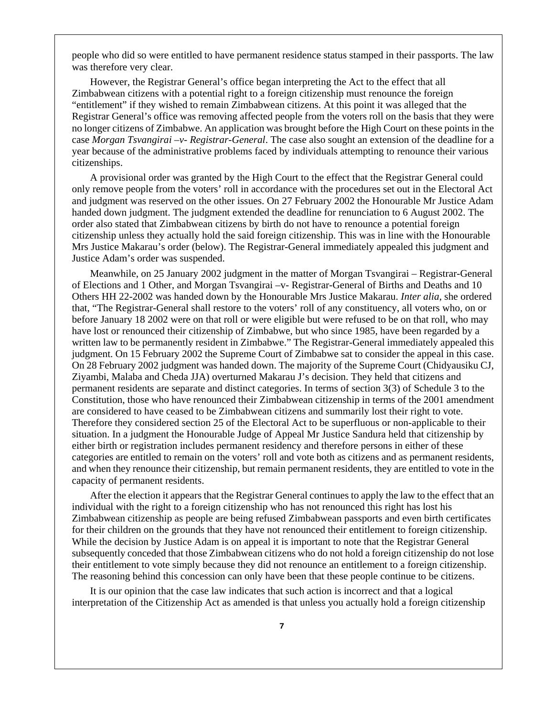people who did so were entitled to have permanent residence status stamped in their passports. The law was therefore very clear.

 However, the Registrar General's office began interpreting the Act to the effect that all Zimbabwean citizens with a potential right to a foreign citizenship must renounce the foreign "entitlement" if they wished to remain Zimbabwean citizens. At this point it was alleged that the Registrar General's office was removing affected people from the voters roll on the basis that they were no longer citizens of Zimbabwe. An application was brought before the High Court on these points in the case *Morgan Tsvangirai –v- Registrar-General*. The case also sought an extension of the deadline for a year because of the administrative problems faced by individuals attempting to renounce their various citizenships.

 A provisional order was granted by the High Court to the effect that the Registrar General could only remove people from the voters' roll in accordance with the procedures set out in the Electoral Act and judgment was reserved on the other issues. On 27 February 2002 the Honourable Mr Justice Adam handed down judgment. The judgment extended the deadline for renunciation to 6 August 2002. The order also stated that Zimbabwean citizens by birth do not have to renounce a potential foreign citizenship unless they actually hold the said foreign citizenship. This was in line with the Honourable Mrs Justice Makarau's order (below). The Registrar-General immediately appealed this judgment and Justice Adam's order was suspended.

 Meanwhile, on 25 January 2002 judgment in the matter of Morgan Tsvangirai – Registrar-General of Elections and 1 Other, and Morgan Tsvangirai –v- Registrar-General of Births and Deaths and 10 Others HH 22-2002 was handed down by the Honourable Mrs Justice Makarau. *Inter alia*, she ordered that, "The Registrar-General shall restore to the voters' roll of any constituency, all voters who, on or before January 18 2002 were on that roll or were eligible but were refused to be on that roll, who may have lost or renounced their citizenship of Zimbabwe, but who since 1985, have been regarded by a written law to be permanently resident in Zimbabwe." The Registrar-General immediately appealed this judgment. On 15 February 2002 the Supreme Court of Zimbabwe sat to consider the appeal in this case. On 28 February 2002 judgment was handed down. The majority of the Supreme Court (Chidyausiku CJ, Ziyambi, Malaba and Cheda JJA) overturned Makarau J's decision. They held that citizens and permanent residents are separate and distinct categories. In terms of section 3(3) of Schedule 3 to the Constitution, those who have renounced their Zimbabwean citizenship in terms of the 2001 amendment are considered to have ceased to be Zimbabwean citizens and summarily lost their right to vote. Therefore they considered section 25 of the Electoral Act to be superfluous or non-applicable to their situation. In a judgment the Honourable Judge of Appeal Mr Justice Sandura held that citizenship by either birth or registration includes permanent residency and therefore persons in either of these categories are entitled to remain on the voters' roll and vote both as citizens and as permanent residents, and when they renounce their citizenship, but remain permanent residents, they are entitled to vote in the capacity of permanent residents.

 After the election it appears that the Registrar General continues to apply the law to the effect that an individual with the right to a foreign citizenship who has not renounced this right has lost his Zimbabwean citizenship as people are being refused Zimbabwean passports and even birth certificates for their children on the grounds that they have not renounced their entitlement to foreign citizenship. While the decision by Justice Adam is on appeal it is important to note that the Registrar General subsequently conceded that those Zimbabwean citizens who do not hold a foreign citizenship do not lose their entitlement to vote simply because they did not renounce an entitlement to a foreign citizenship. The reasoning behind this concession can only have been that these people continue to be citizens.

 It is our opinion that the case law indicates that such action is incorrect and that a logical interpretation of the Citizenship Act as amended is that unless you actually hold a foreign citizenship